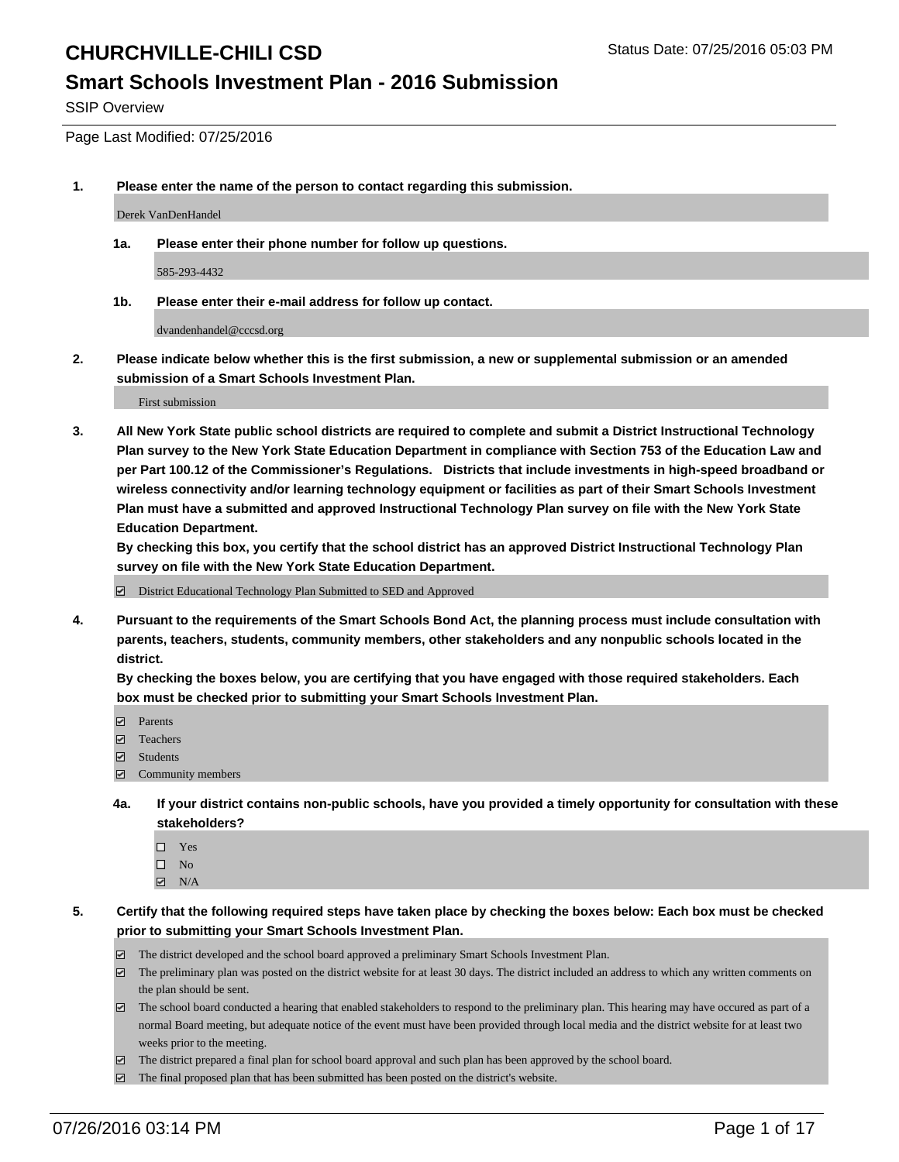### **Smart Schools Investment Plan - 2016 Submission**

SSIP Overview

Page Last Modified: 07/25/2016

**1. Please enter the name of the person to contact regarding this submission.**

Derek VanDenHandel

**1a. Please enter their phone number for follow up questions.**

585-293-4432

**1b. Please enter their e-mail address for follow up contact.**

dvandenhandel@cccsd.org

**2. Please indicate below whether this is the first submission, a new or supplemental submission or an amended submission of a Smart Schools Investment Plan.**

First submission

**3. All New York State public school districts are required to complete and submit a District Instructional Technology Plan survey to the New York State Education Department in compliance with Section 753 of the Education Law and per Part 100.12 of the Commissioner's Regulations. Districts that include investments in high-speed broadband or wireless connectivity and/or learning technology equipment or facilities as part of their Smart Schools Investment Plan must have a submitted and approved Instructional Technology Plan survey on file with the New York State Education Department.** 

**By checking this box, you certify that the school district has an approved District Instructional Technology Plan survey on file with the New York State Education Department.**

District Educational Technology Plan Submitted to SED and Approved

**4. Pursuant to the requirements of the Smart Schools Bond Act, the planning process must include consultation with parents, teachers, students, community members, other stakeholders and any nonpublic schools located in the district.** 

**By checking the boxes below, you are certifying that you have engaged with those required stakeholders. Each box must be checked prior to submitting your Smart Schools Investment Plan.**

- **Parents**
- Teachers
- $\blacksquare$  Students
- Community members
- **4a. If your district contains non-public schools, have you provided a timely opportunity for consultation with these stakeholders?**
	- $\Box$  Yes  $\square$  No
	- $\boxtimes$  N/A
- **5. Certify that the following required steps have taken place by checking the boxes below: Each box must be checked prior to submitting your Smart Schools Investment Plan.**
	- The district developed and the school board approved a preliminary Smart Schools Investment Plan.
	- $\boxdot$  The preliminary plan was posted on the district website for at least 30 days. The district included an address to which any written comments on the plan should be sent.
	- $\Box$  The school board conducted a hearing that enabled stakeholders to respond to the preliminary plan. This hearing may have occured as part of a normal Board meeting, but adequate notice of the event must have been provided through local media and the district website for at least two weeks prior to the meeting.
	- The district prepared a final plan for school board approval and such plan has been approved by the school board.
	- $\boxdot$  The final proposed plan that has been submitted has been posted on the district's website.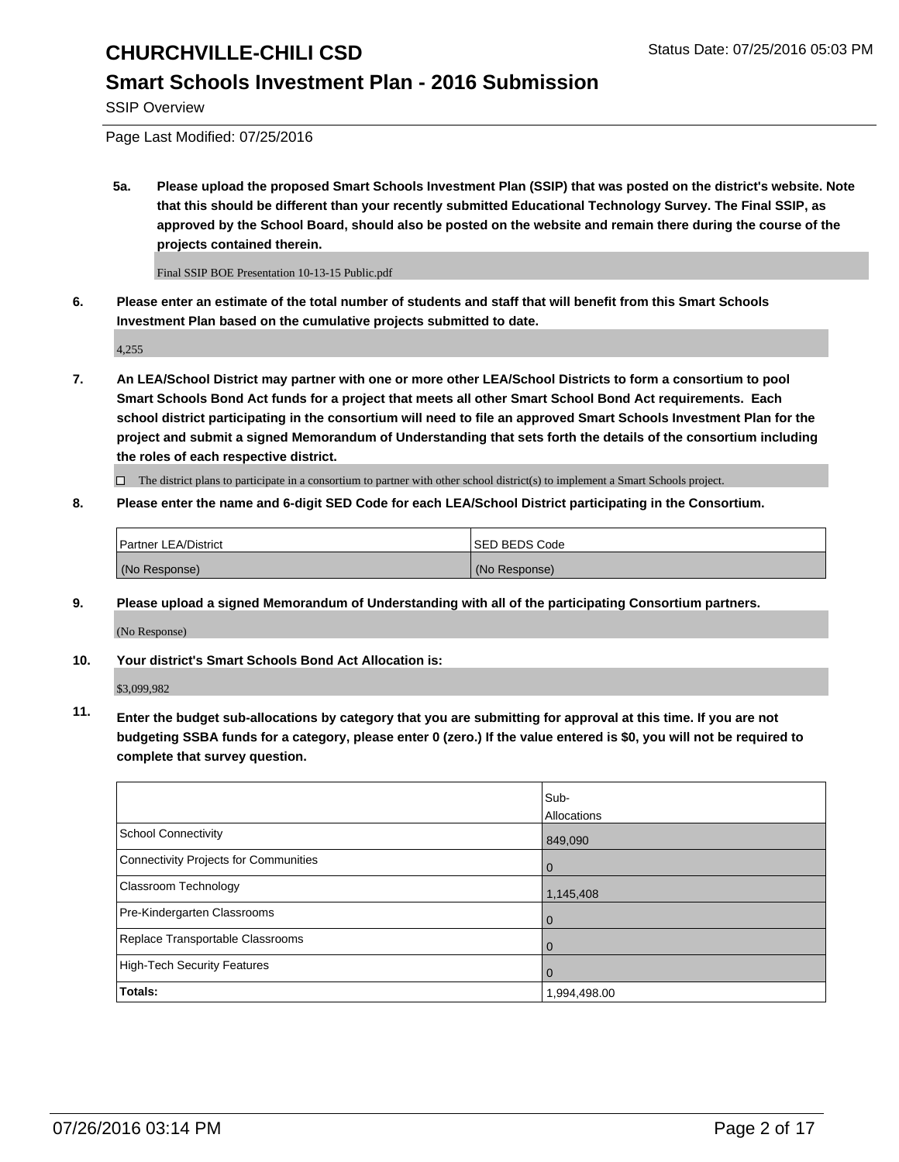### **Smart Schools Investment Plan - 2016 Submission**

SSIP Overview

Page Last Modified: 07/25/2016

**5a. Please upload the proposed Smart Schools Investment Plan (SSIP) that was posted on the district's website. Note that this should be different than your recently submitted Educational Technology Survey. The Final SSIP, as approved by the School Board, should also be posted on the website and remain there during the course of the projects contained therein.**

Final SSIP BOE Presentation 10-13-15 Public.pdf

**6. Please enter an estimate of the total number of students and staff that will benefit from this Smart Schools Investment Plan based on the cumulative projects submitted to date.**

4,255

**7. An LEA/School District may partner with one or more other LEA/School Districts to form a consortium to pool Smart Schools Bond Act funds for a project that meets all other Smart School Bond Act requirements. Each school district participating in the consortium will need to file an approved Smart Schools Investment Plan for the project and submit a signed Memorandum of Understanding that sets forth the details of the consortium including the roles of each respective district.**

 $\Box$  The district plans to participate in a consortium to partner with other school district(s) to implement a Smart Schools project.

#### **8. Please enter the name and 6-digit SED Code for each LEA/School District participating in the Consortium.**

| Partner LEA/District | <b>ISED BEDS Code</b> |
|----------------------|-----------------------|
| (No Response)        | (No Response)         |

**9. Please upload a signed Memorandum of Understanding with all of the participating Consortium partners.**

(No Response)

**10. Your district's Smart Schools Bond Act Allocation is:**

\$3,099,982

**11. Enter the budget sub-allocations by category that you are submitting for approval at this time. If you are not budgeting SSBA funds for a category, please enter 0 (zero.) If the value entered is \$0, you will not be required to complete that survey question.**

|                                       | Sub-         |
|---------------------------------------|--------------|
|                                       | Allocations  |
| <b>School Connectivity</b>            | 849,090      |
| Connectivity Projects for Communities | $\Omega$     |
| Classroom Technology                  | 1,145,408    |
| Pre-Kindergarten Classrooms           | $\Omega$     |
| Replace Transportable Classrooms      | $\Omega$     |
| High-Tech Security Features           | $\Omega$     |
| <b>Totals:</b>                        | 1,994,498.00 |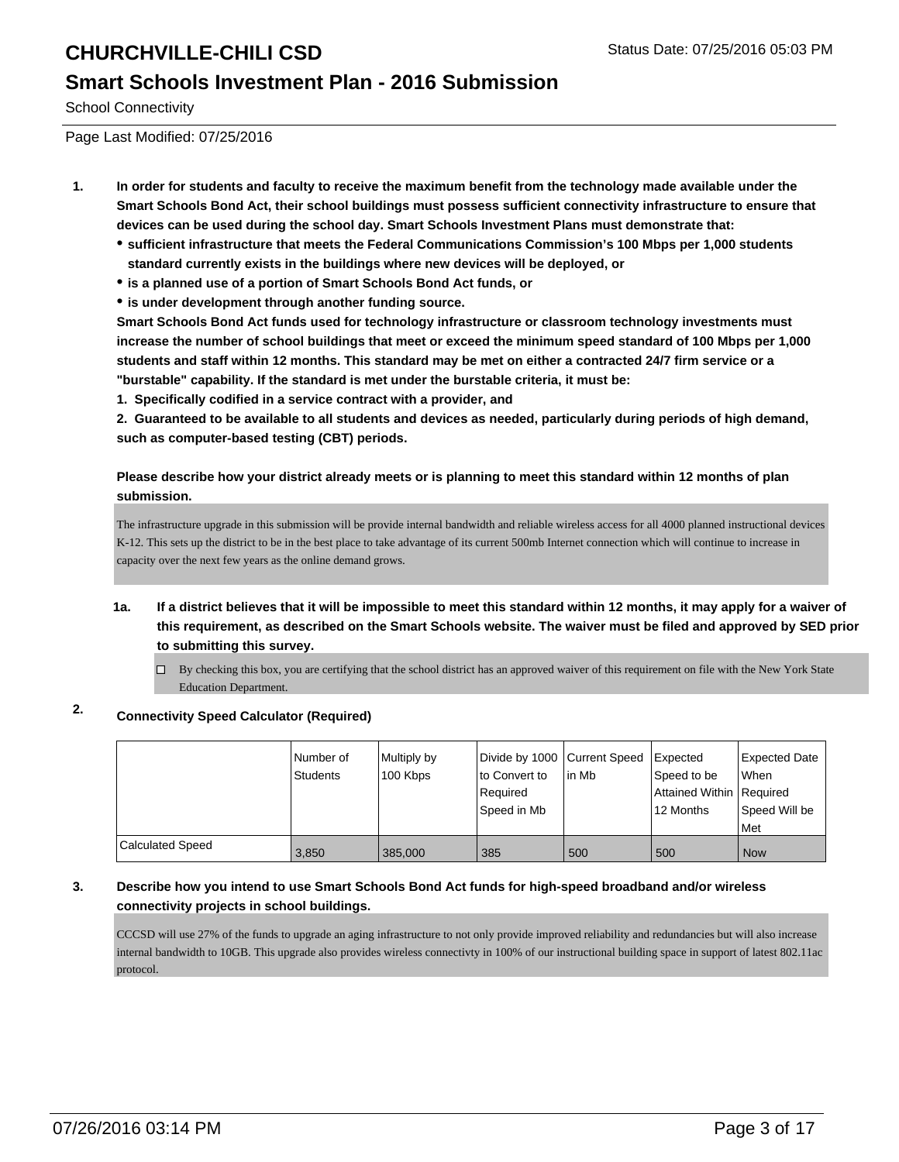### **Smart Schools Investment Plan - 2016 Submission**

School Connectivity

Page Last Modified: 07/25/2016

- **1. In order for students and faculty to receive the maximum benefit from the technology made available under the Smart Schools Bond Act, their school buildings must possess sufficient connectivity infrastructure to ensure that devices can be used during the school day. Smart Schools Investment Plans must demonstrate that:**
	- **sufficient infrastructure that meets the Federal Communications Commission's 100 Mbps per 1,000 students standard currently exists in the buildings where new devices will be deployed, or**
	- **is a planned use of a portion of Smart Schools Bond Act funds, or**
	- **is under development through another funding source.**

**Smart Schools Bond Act funds used for technology infrastructure or classroom technology investments must increase the number of school buildings that meet or exceed the minimum speed standard of 100 Mbps per 1,000 students and staff within 12 months. This standard may be met on either a contracted 24/7 firm service or a "burstable" capability. If the standard is met under the burstable criteria, it must be:**

**1. Specifically codified in a service contract with a provider, and**

**2. Guaranteed to be available to all students and devices as needed, particularly during periods of high demand, such as computer-based testing (CBT) periods.**

**Please describe how your district already meets or is planning to meet this standard within 12 months of plan submission.**

The infrastructure upgrade in this submission will be provide internal bandwidth and reliable wireless access for all 4000 planned instructional devices K-12. This sets up the district to be in the best place to take advantage of its current 500mb Internet connection which will continue to increase in capacity over the next few years as the online demand grows.

- **1a. If a district believes that it will be impossible to meet this standard within 12 months, it may apply for a waiver of this requirement, as described on the Smart Schools website. The waiver must be filed and approved by SED prior to submitting this survey.**
	- $\Box$  By checking this box, you are certifying that the school district has an approved waiver of this requirement on file with the New York State Education Department.

### **2. Connectivity Speed Calculator (Required)**

|                         | Number of<br><b>Students</b> | Multiply by<br>100 Kbps | Divide by 1000 Current Speed<br>Ito Convert to<br>l Reauired<br>lSpeed in Mb | in Mb | Expected<br>Speed to be<br>Attained Within Required<br>12 Months | <b>Expected Date</b><br>lWhen<br>Speed Will be<br><b>Met</b> |
|-------------------------|------------------------------|-------------------------|------------------------------------------------------------------------------|-------|------------------------------------------------------------------|--------------------------------------------------------------|
| <b>Calculated Speed</b> | 3,850                        | 385,000                 | 385                                                                          | 500   | 500                                                              | l Now                                                        |

#### **3. Describe how you intend to use Smart Schools Bond Act funds for high-speed broadband and/or wireless connectivity projects in school buildings.**

CCCSD will use 27% of the funds to upgrade an aging infrastructure to not only provide improved reliability and redundancies but will also increase internal bandwidth to 10GB. This upgrade also provides wireless connectivty in 100% of our instructional building space in support of latest 802.11ac protocol.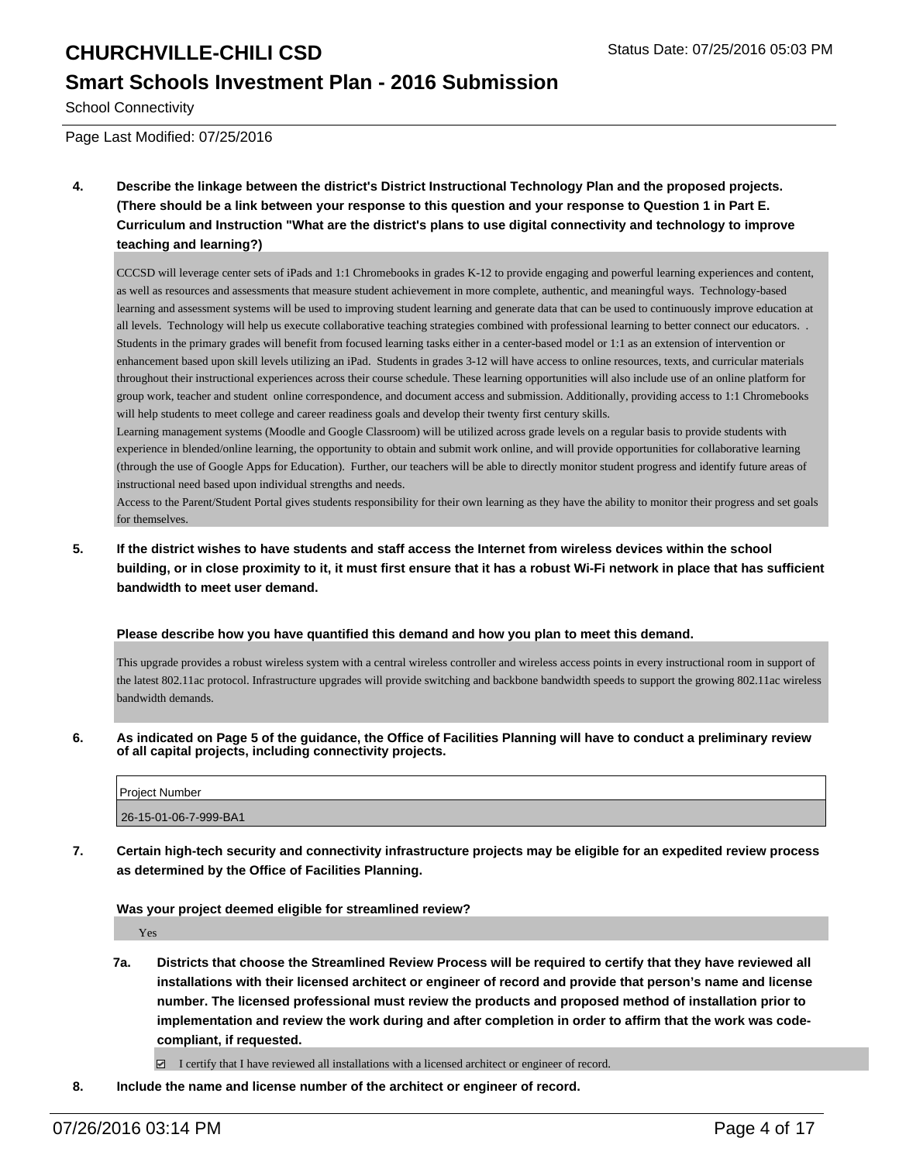### **Smart Schools Investment Plan - 2016 Submission**

School Connectivity

Page Last Modified: 07/25/2016

**4. Describe the linkage between the district's District Instructional Technology Plan and the proposed projects. (There should be a link between your response to this question and your response to Question 1 in Part E. Curriculum and Instruction "What are the district's plans to use digital connectivity and technology to improve teaching and learning?)**

CCCSD will leverage center sets of iPads and 1:1 Chromebooks in grades K-12 to provide engaging and powerful learning experiences and content, as well as resources and assessments that measure student achievement in more complete, authentic, and meaningful ways. Technology-based learning and assessment systems will be used to improving student learning and generate data that can be used to continuously improve education at all levels. Technology will help us execute collaborative teaching strategies combined with professional learning to better connect our educators. . Students in the primary grades will benefit from focused learning tasks either in a center-based model or 1:1 as an extension of intervention or enhancement based upon skill levels utilizing an iPad. Students in grades 3-12 will have access to online resources, texts, and curricular materials throughout their instructional experiences across their course schedule. These learning opportunities will also include use of an online platform for group work, teacher and student online correspondence, and document access and submission. Additionally, providing access to 1:1 Chromebooks will help students to meet college and career readiness goals and develop their twenty first century skills.

Learning management systems (Moodle and Google Classroom) will be utilized across grade levels on a regular basis to provide students with experience in blended/online learning, the opportunity to obtain and submit work online, and will provide opportunities for collaborative learning (through the use of Google Apps for Education). Further, our teachers will be able to directly monitor student progress and identify future areas of instructional need based upon individual strengths and needs.

Access to the Parent/Student Portal gives students responsibility for their own learning as they have the ability to monitor their progress and set goals for themselves.

**5. If the district wishes to have students and staff access the Internet from wireless devices within the school building, or in close proximity to it, it must first ensure that it has a robust Wi-Fi network in place that has sufficient bandwidth to meet user demand.**

**Please describe how you have quantified this demand and how you plan to meet this demand.**

This upgrade provides a robust wireless system with a central wireless controller and wireless access points in every instructional room in support of the latest 802.11ac protocol. Infrastructure upgrades will provide switching and backbone bandwidth speeds to support the growing 802.11ac wireless bandwidth demands.

**6. As indicated on Page 5 of the guidance, the Office of Facilities Planning will have to conduct a preliminary review of all capital projects, including connectivity projects.**

| Project Number        |  |
|-----------------------|--|
| 26-15-01-06-7-999-BA1 |  |

**7. Certain high-tech security and connectivity infrastructure projects may be eligible for an expedited review process as determined by the Office of Facilities Planning.**

#### **Was your project deemed eligible for streamlined review?**

Yes

**7a. Districts that choose the Streamlined Review Process will be required to certify that they have reviewed all installations with their licensed architect or engineer of record and provide that person's name and license number. The licensed professional must review the products and proposed method of installation prior to implementation and review the work during and after completion in order to affirm that the work was codecompliant, if requested.**

 $\Box$  I certify that I have reviewed all installations with a licensed architect or engineer of record.

**8. Include the name and license number of the architect or engineer of record.**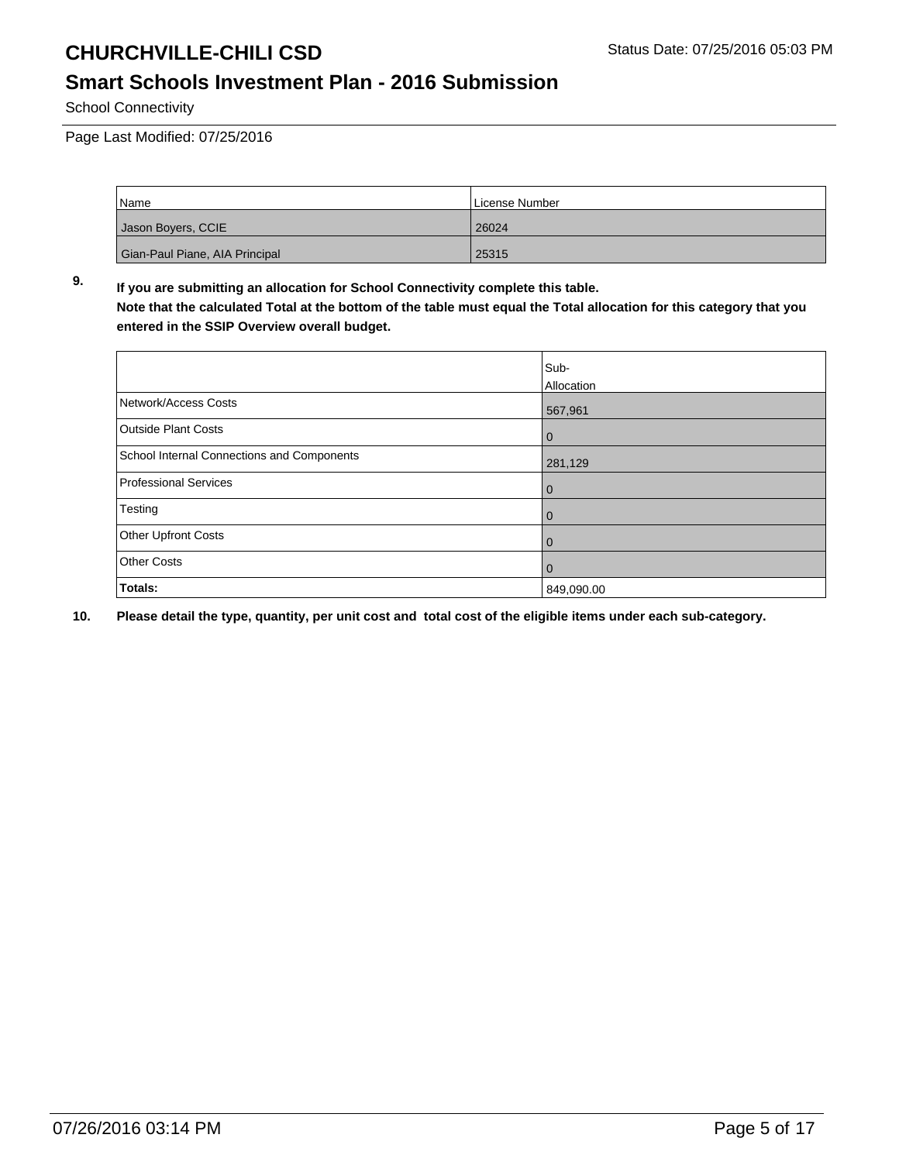### **Smart Schools Investment Plan - 2016 Submission**

School Connectivity

Page Last Modified: 07/25/2016

| Name                           | License Number |
|--------------------------------|----------------|
| Jason Boyers, CCIE             | 26024          |
| Gian-Paul Piane, AIA Principal | 25315          |

**9. If you are submitting an allocation for School Connectivity complete this table. Note that the calculated Total at the bottom of the table must equal the Total allocation for this category that you entered in the SSIP Overview overall budget.** 

|                                                   | Sub-<br>Allocation |
|---------------------------------------------------|--------------------|
| Network/Access Costs                              | 567,961            |
| <b>Outside Plant Costs</b>                        | 0                  |
| <b>School Internal Connections and Components</b> | 281,129            |
| <b>Professional Services</b>                      | $\mathbf 0$        |
| Testing                                           | 0                  |
| Other Upfront Costs                               | $\mathbf 0$        |
| <b>Other Costs</b>                                | 0                  |
| Totals:                                           | 849,090.00         |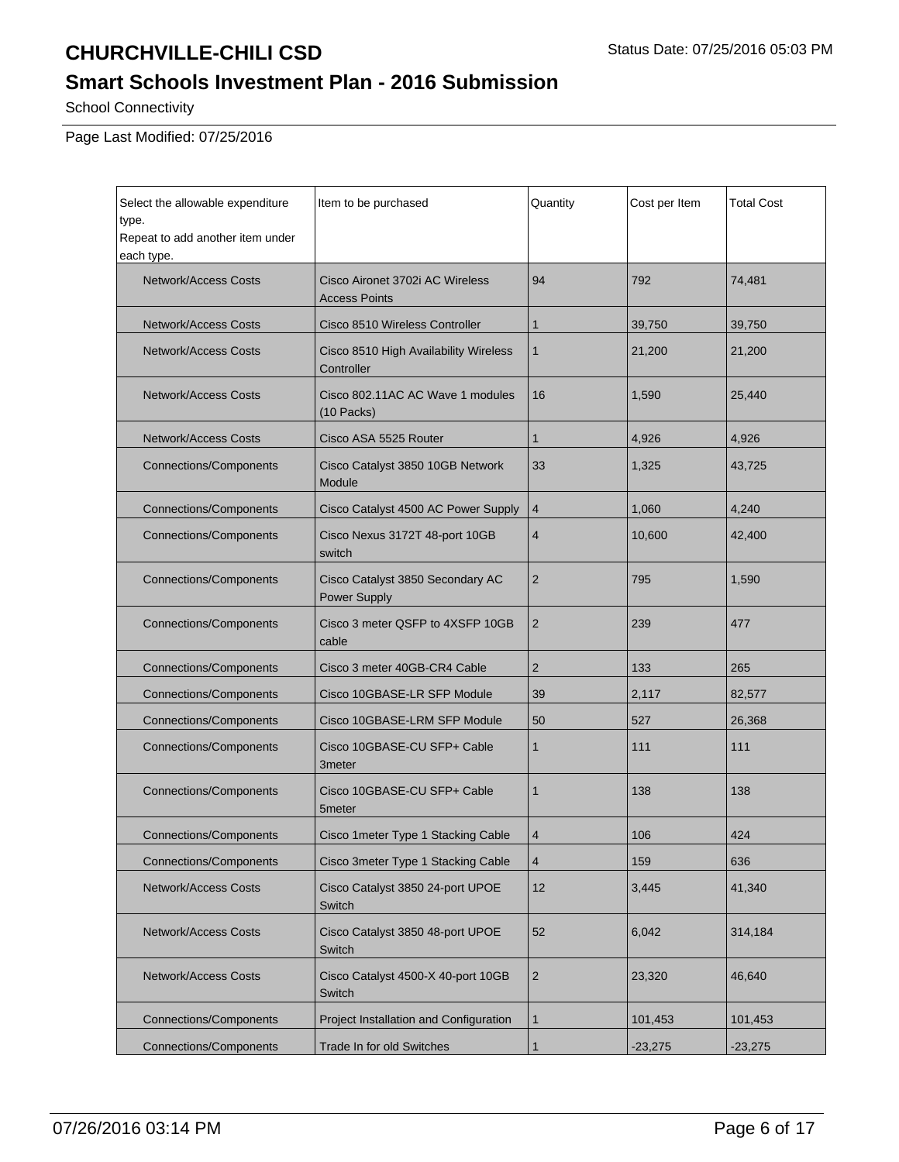## **Smart Schools Investment Plan - 2016 Submission**

School Connectivity

Page Last Modified: 07/25/2016

| Select the allowable expenditure<br>type.<br>Repeat to add another item under<br>each type. | Item to be purchased                                    | Quantity       | Cost per Item | Total Cost |
|---------------------------------------------------------------------------------------------|---------------------------------------------------------|----------------|---------------|------------|
| <b>Network/Access Costs</b>                                                                 | Cisco Aironet 3702i AC Wireless<br><b>Access Points</b> | 94             | 792           | 74,481     |
| <b>Network/Access Costs</b>                                                                 | Cisco 8510 Wireless Controller                          | $\mathbf{1}$   | 39,750        | 39,750     |
| <b>Network/Access Costs</b>                                                                 | Cisco 8510 High Availability Wireless<br>Controller     | $\mathbf 1$    | 21,200        | 21,200     |
| <b>Network/Access Costs</b>                                                                 | Cisco 802.11AC AC Wave 1 modules<br>(10 Packs)          | 16             | 1,590         | 25,440     |
| <b>Network/Access Costs</b>                                                                 | Cisco ASA 5525 Router                                   | $\mathbf{1}$   | 4,926         | 4,926      |
| <b>Connections/Components</b>                                                               | Cisco Catalyst 3850 10GB Network<br>Module              | 33             | 1,325         | 43,725     |
| <b>Connections/Components</b>                                                               | Cisco Catalyst 4500 AC Power Supply                     | $\overline{4}$ | 1,060         | 4,240      |
| <b>Connections/Components</b>                                                               | Cisco Nexus 3172T 48-port 10GB<br>switch                | $\overline{4}$ | 10,600        | 42,400     |
| <b>Connections/Components</b>                                                               | Cisco Catalyst 3850 Secondary AC<br>Power Supply        | $\overline{2}$ | 795           | 1,590      |
| <b>Connections/Components</b>                                                               | Cisco 3 meter QSFP to 4XSFP 10GB<br>cable               | 2              | 239           | 477        |
| <b>Connections/Components</b>                                                               | Cisco 3 meter 40GB-CR4 Cable                            | $\overline{2}$ | 133           | 265        |
| <b>Connections/Components</b>                                                               | Cisco 10GBASE-LR SFP Module                             | 39             | 2,117         | 82,577     |
| <b>Connections/Components</b>                                                               | Cisco 10GBASE-LRM SFP Module                            | 50             | 527           | 26,368     |
| <b>Connections/Components</b>                                                               | Cisco 10GBASE-CU SFP+ Cable<br>3meter                   |                | 111           | 111        |
| <b>Connections/Components</b>                                                               | Cisco 10GBASE-CU SFP+ Cable<br>5meter                   | 1              | 138           | 138        |
| <b>Connections/Components</b>                                                               | Cisco 1 meter Type 1 Stacking Cable                     | 4              | 106           | 424        |
| <b>Connections/Components</b>                                                               | Cisco 3meter Type 1 Stacking Cable                      | 4              | 159           | 636        |
| <b>Network/Access Costs</b>                                                                 | Cisco Catalyst 3850 24-port UPOE<br>Switch              | 12             | 3,445         | 41,340     |
| <b>Network/Access Costs</b>                                                                 | Cisco Catalyst 3850 48-port UPOE<br>Switch              | 52             | 6,042         | 314,184    |
| <b>Network/Access Costs</b>                                                                 | Cisco Catalyst 4500-X 40-port 10GB<br>Switch            | $\overline{c}$ | 23,320        | 46,640     |
| <b>Connections/Components</b>                                                               | Project Installation and Configuration                  | 1              | 101,453       | 101,453    |
| Connections/Components                                                                      | <b>Trade In for old Switches</b>                        | $\mathbf{1}$   | $-23,275$     | $-23,275$  |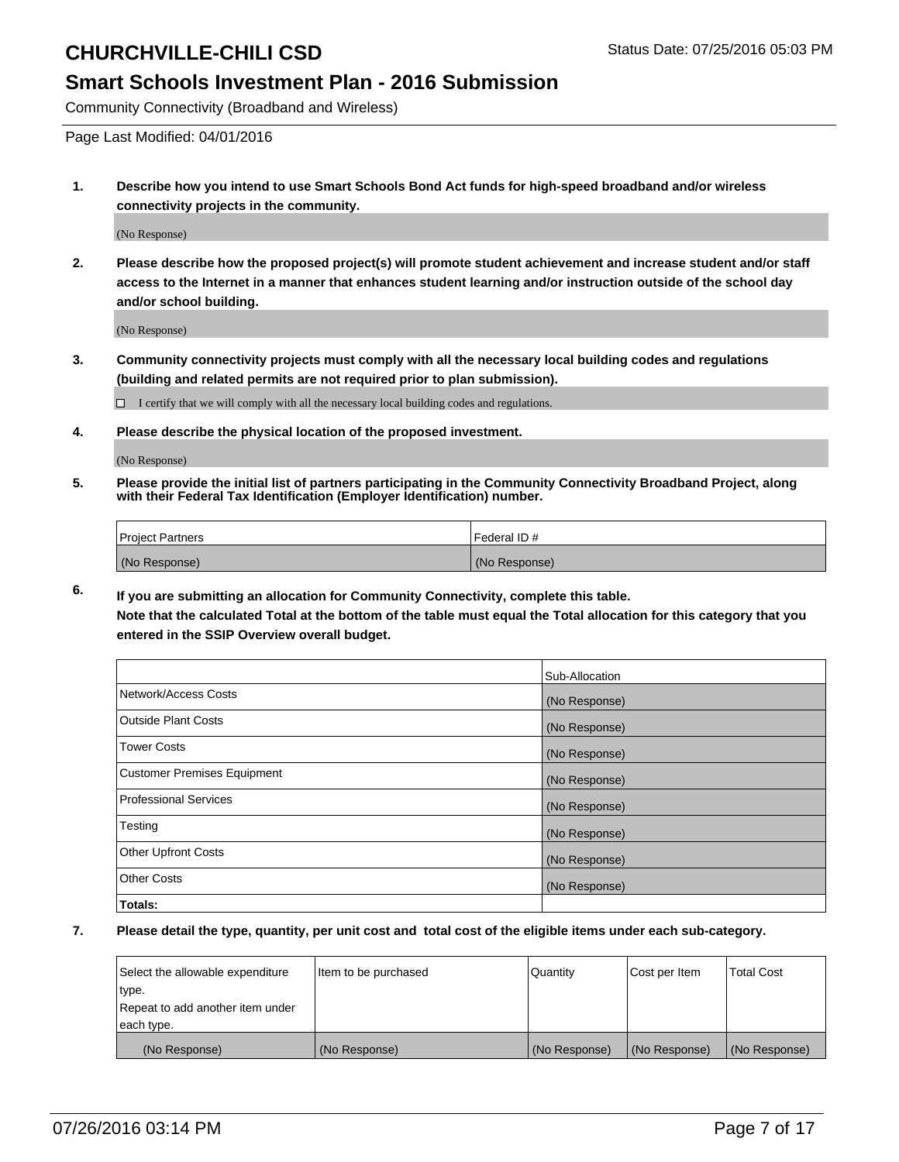### **Smart Schools Investment Plan - 2016 Submission**

Community Connectivity (Broadband and Wireless)

Page Last Modified: 04/01/2016

**1. Describe how you intend to use Smart Schools Bond Act funds for high-speed broadband and/or wireless connectivity projects in the community.**

(No Response)

**2. Please describe how the proposed project(s) will promote student achievement and increase student and/or staff access to the Internet in a manner that enhances student learning and/or instruction outside of the school day and/or school building.**

(No Response)

**3. Community connectivity projects must comply with all the necessary local building codes and regulations (building and related permits are not required prior to plan submission).**

 $\Box$  I certify that we will comply with all the necessary local building codes and regulations.

**4. Please describe the physical location of the proposed investment.**

(No Response)

**5. Please provide the initial list of partners participating in the Community Connectivity Broadband Project, along with their Federal Tax Identification (Employer Identification) number.**

| Project Partners | <b>IFederal ID#</b> |
|------------------|---------------------|
| (No Response)    | (No Response)       |

**6. If you are submitting an allocation for Community Connectivity, complete this table. Note that the calculated Total at the bottom of the table must equal the Total allocation for this category that you**

**entered in the SSIP Overview overall budget.**

|                                    | Sub-Allocation |
|------------------------------------|----------------|
| Network/Access Costs               | (No Response)  |
| <b>Outside Plant Costs</b>         | (No Response)  |
| <b>Tower Costs</b>                 | (No Response)  |
| <b>Customer Premises Equipment</b> | (No Response)  |
| <b>Professional Services</b>       | (No Response)  |
| Testing                            | (No Response)  |
| <b>Other Upfront Costs</b>         | (No Response)  |
| <b>Other Costs</b>                 | (No Response)  |
| Totals:                            |                |

| Select the allowable expenditure | Item to be purchased | Quantity      | Cost per Item | <b>Total Cost</b> |
|----------------------------------|----------------------|---------------|---------------|-------------------|
| type.                            |                      |               |               |                   |
| Repeat to add another item under |                      |               |               |                   |
| each type.                       |                      |               |               |                   |
| (No Response)                    | (No Response)        | (No Response) | (No Response) | (No Response)     |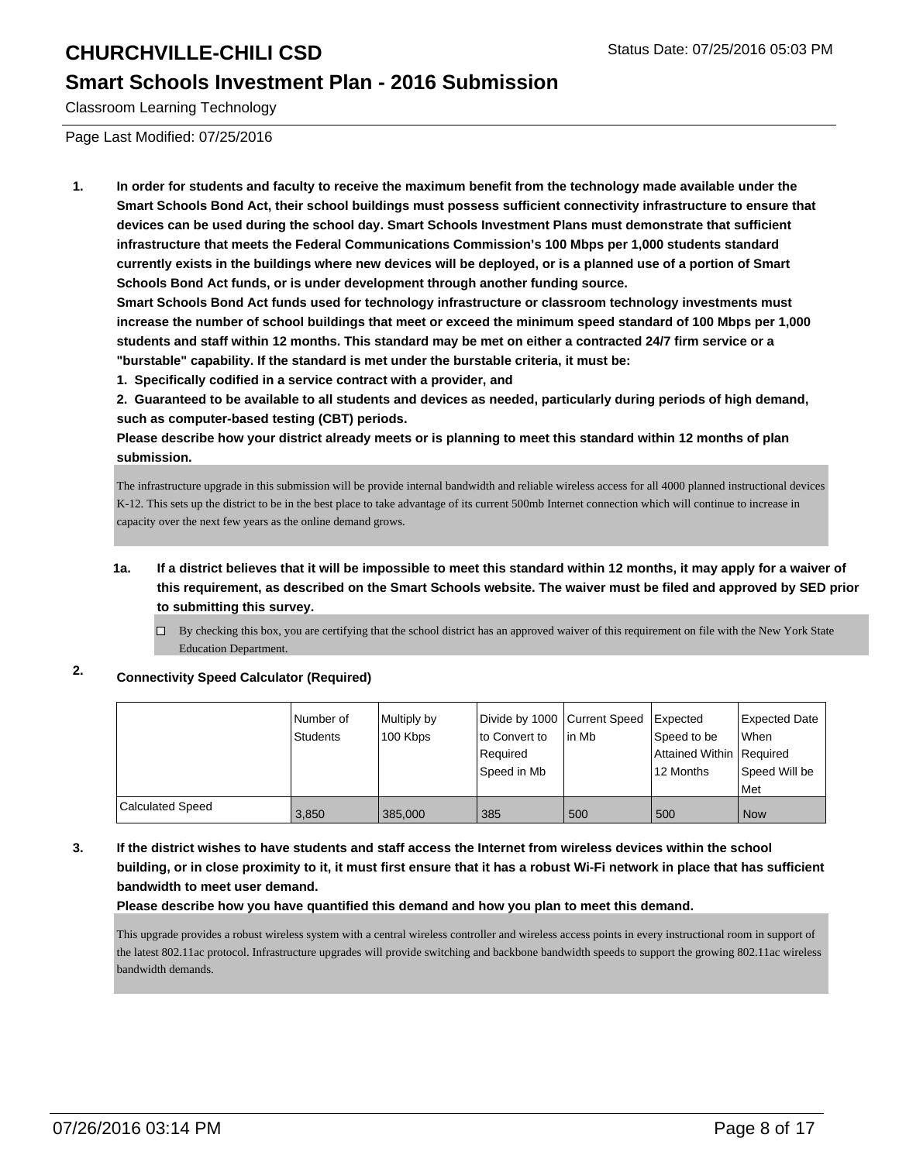### **Smart Schools Investment Plan - 2016 Submission**

Classroom Learning Technology

Page Last Modified: 07/25/2016

**1. In order for students and faculty to receive the maximum benefit from the technology made available under the Smart Schools Bond Act, their school buildings must possess sufficient connectivity infrastructure to ensure that devices can be used during the school day. Smart Schools Investment Plans must demonstrate that sufficient infrastructure that meets the Federal Communications Commission's 100 Mbps per 1,000 students standard currently exists in the buildings where new devices will be deployed, or is a planned use of a portion of Smart Schools Bond Act funds, or is under development through another funding source.**

**Smart Schools Bond Act funds used for technology infrastructure or classroom technology investments must increase the number of school buildings that meet or exceed the minimum speed standard of 100 Mbps per 1,000 students and staff within 12 months. This standard may be met on either a contracted 24/7 firm service or a "burstable" capability. If the standard is met under the burstable criteria, it must be:**

**1. Specifically codified in a service contract with a provider, and**

**2. Guaranteed to be available to all students and devices as needed, particularly during periods of high demand, such as computer-based testing (CBT) periods.**

**Please describe how your district already meets or is planning to meet this standard within 12 months of plan submission.**

The infrastructure upgrade in this submission will be provide internal bandwidth and reliable wireless access for all 4000 planned instructional devices K-12. This sets up the district to be in the best place to take advantage of its current 500mb Internet connection which will continue to increase in capacity over the next few years as the online demand grows.

- **1a. If a district believes that it will be impossible to meet this standard within 12 months, it may apply for a waiver of this requirement, as described on the Smart Schools website. The waiver must be filed and approved by SED prior to submitting this survey.**
	- By checking this box, you are certifying that the school district has an approved waiver of this requirement on file with the New York State  $\Box$ Education Department.

### **2. Connectivity Speed Calculator (Required)**

|                         | Number of<br>Students | Multiply by<br>100 Kbps | Divide by 1000 Current Speed<br>to Convert to | l in Mb | <b>Expected</b><br>Speed to be | Expected Date<br><b>When</b> |
|-------------------------|-----------------------|-------------------------|-----------------------------------------------|---------|--------------------------------|------------------------------|
|                         |                       |                         | Required                                      |         | Attained Within Required       |                              |
|                         |                       |                         | Speed in Mb                                   |         | 12 Months                      | l Speed Will be              |
|                         |                       |                         |                                               |         |                                | Met                          |
| <b>Calculated Speed</b> | 3,850                 | 385,000                 | 385                                           | 500     | 500                            | l Now                        |

#### **3. If the district wishes to have students and staff access the Internet from wireless devices within the school building, or in close proximity to it, it must first ensure that it has a robust Wi-Fi network in place that has sufficient bandwidth to meet user demand.**

**Please describe how you have quantified this demand and how you plan to meet this demand.**

This upgrade provides a robust wireless system with a central wireless controller and wireless access points in every instructional room in support of the latest 802.11ac protocol. Infrastructure upgrades will provide switching and backbone bandwidth speeds to support the growing 802.11ac wireless bandwidth demands.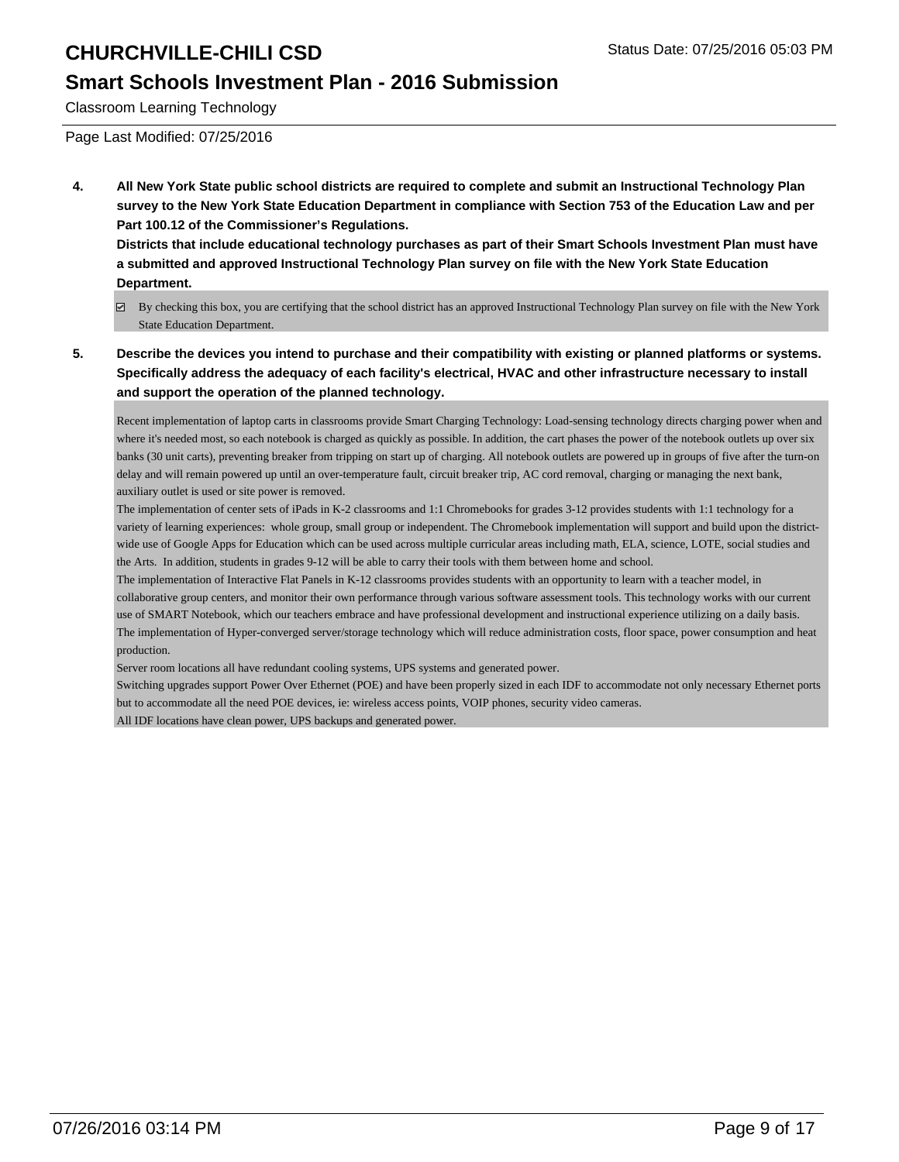### **Smart Schools Investment Plan - 2016 Submission**

Classroom Learning Technology

Page Last Modified: 07/25/2016

**4. All New York State public school districts are required to complete and submit an Instructional Technology Plan survey to the New York State Education Department in compliance with Section 753 of the Education Law and per Part 100.12 of the Commissioner's Regulations.**

**Districts that include educational technology purchases as part of their Smart Schools Investment Plan must have a submitted and approved Instructional Technology Plan survey on file with the New York State Education Department.**

- By checking this box, you are certifying that the school district has an approved Instructional Technology Plan survey on file with the New York State Education Department.
- **5. Describe the devices you intend to purchase and their compatibility with existing or planned platforms or systems. Specifically address the adequacy of each facility's electrical, HVAC and other infrastructure necessary to install and support the operation of the planned technology.**

Recent implementation of laptop carts in classrooms provide Smart Charging Technology: Load-sensing technology directs charging power when and where it's needed most, so each notebook is charged as quickly as possible. In addition, the cart phases the power of the notebook outlets up over six banks (30 unit carts), preventing breaker from tripping on start up of charging. All notebook outlets are powered up in groups of five after the turn-on delay and will remain powered up until an over-temperature fault, circuit breaker trip, AC cord removal, charging or managing the next bank, auxiliary outlet is used or site power is removed.

The implementation of center sets of iPads in K-2 classrooms and 1:1 Chromebooks for grades 3-12 provides students with 1:1 technology for a variety of learning experiences: whole group, small group or independent. The Chromebook implementation will support and build upon the districtwide use of Google Apps for Education which can be used across multiple curricular areas including math, ELA, science, LOTE, social studies and the Arts. In addition, students in grades 9-12 will be able to carry their tools with them between home and school.

The implementation of Interactive Flat Panels in K-12 classrooms provides students with an opportunity to learn with a teacher model, in collaborative group centers, and monitor their own performance through various software assessment tools. This technology works with our current use of SMART Notebook, which our teachers embrace and have professional development and instructional experience utilizing on a daily basis. The implementation of Hyper-converged server/storage technology which will reduce administration costs, floor space, power consumption and heat production.

Server room locations all have redundant cooling systems, UPS systems and generated power.

Switching upgrades support Power Over Ethernet (POE) and have been properly sized in each IDF to accommodate not only necessary Ethernet ports but to accommodate all the need POE devices, ie: wireless access points, VOIP phones, security video cameras.

All IDF locations have clean power, UPS backups and generated power.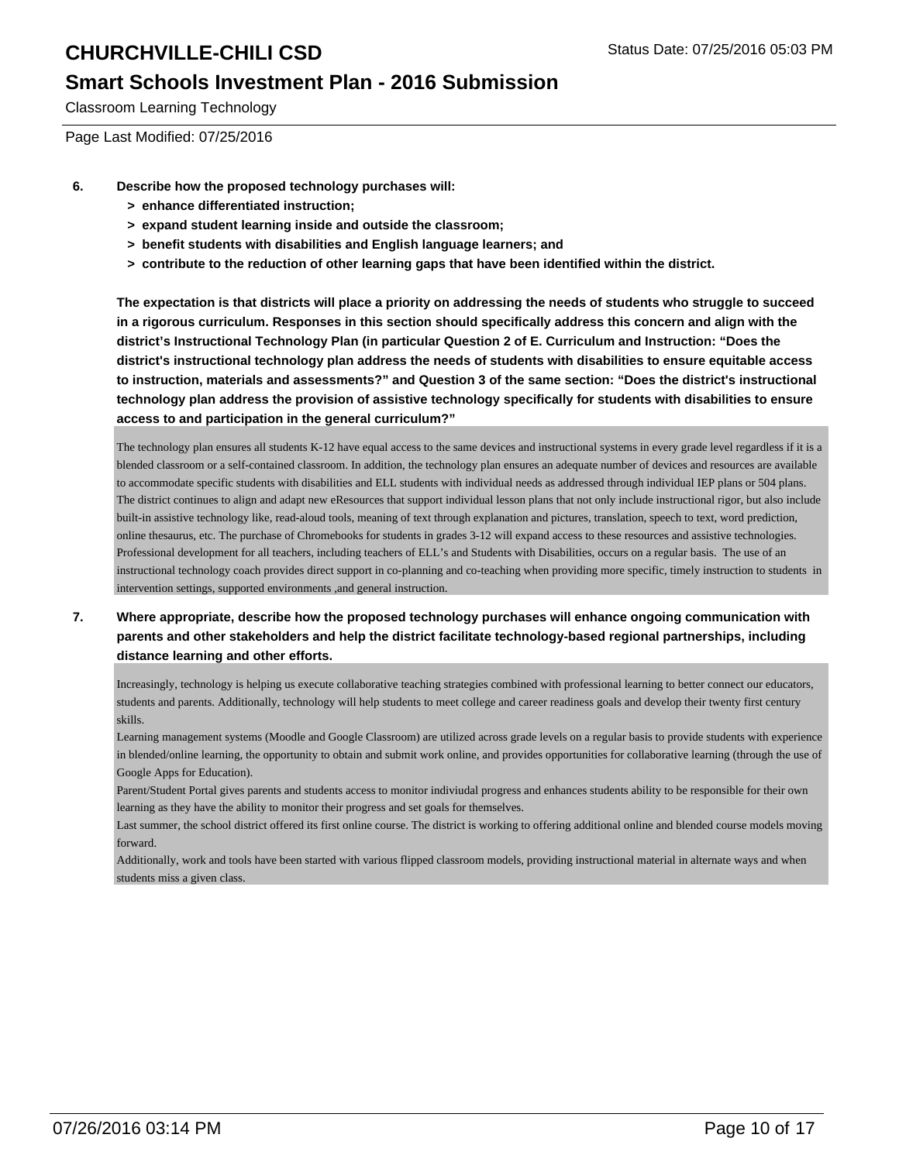### **Smart Schools Investment Plan - 2016 Submission**

Classroom Learning Technology

Page Last Modified: 07/25/2016

- **6. Describe how the proposed technology purchases will:**
	- **> enhance differentiated instruction;**
	- **> expand student learning inside and outside the classroom;**
	- **> benefit students with disabilities and English language learners; and**
	- **> contribute to the reduction of other learning gaps that have been identified within the district.**

**The expectation is that districts will place a priority on addressing the needs of students who struggle to succeed in a rigorous curriculum. Responses in this section should specifically address this concern and align with the district's Instructional Technology Plan (in particular Question 2 of E. Curriculum and Instruction: "Does the district's instructional technology plan address the needs of students with disabilities to ensure equitable access to instruction, materials and assessments?" and Question 3 of the same section: "Does the district's instructional technology plan address the provision of assistive technology specifically for students with disabilities to ensure access to and participation in the general curriculum?"**

The technology plan ensures all students K-12 have equal access to the same devices and instructional systems in every grade level regardless if it is a blended classroom or a self-contained classroom. In addition, the technology plan ensures an adequate number of devices and resources are available to accommodate specific students with disabilities and ELL students with individual needs as addressed through individual IEP plans or 504 plans. The district continues to align and adapt new eResources that support individual lesson plans that not only include instructional rigor, but also include built-in assistive technology like, read-aloud tools, meaning of text through explanation and pictures, translation, speech to text, word prediction, online thesaurus, etc. The purchase of Chromebooks for students in grades 3-12 will expand access to these resources and assistive technologies. Professional development for all teachers, including teachers of ELL's and Students with Disabilities, occurs on a regular basis. The use of an instructional technology coach provides direct support in co-planning and co-teaching when providing more specific, timely instruction to students in intervention settings, supported environments ,and general instruction.

#### **7. Where appropriate, describe how the proposed technology purchases will enhance ongoing communication with parents and other stakeholders and help the district facilitate technology-based regional partnerships, including distance learning and other efforts.**

Increasingly, technology is helping us execute collaborative teaching strategies combined with professional learning to better connect our educators, students and parents. Additionally, technology will help students to meet college and career readiness goals and develop their twenty first century skills.

Learning management systems (Moodle and Google Classroom) are utilized across grade levels on a regular basis to provide students with experience in blended/online learning, the opportunity to obtain and submit work online, and provides opportunities for collaborative learning (through the use of Google Apps for Education).

Parent/Student Portal gives parents and students access to monitor indiviudal progress and enhances students ability to be responsible for their own learning as they have the ability to monitor their progress and set goals for themselves.

Last summer, the school district offered its first online course. The district is working to offering additional online and blended course models moving forward.

Additionally, work and tools have been started with various flipped classroom models, providing instructional material in alternate ways and when students miss a given class.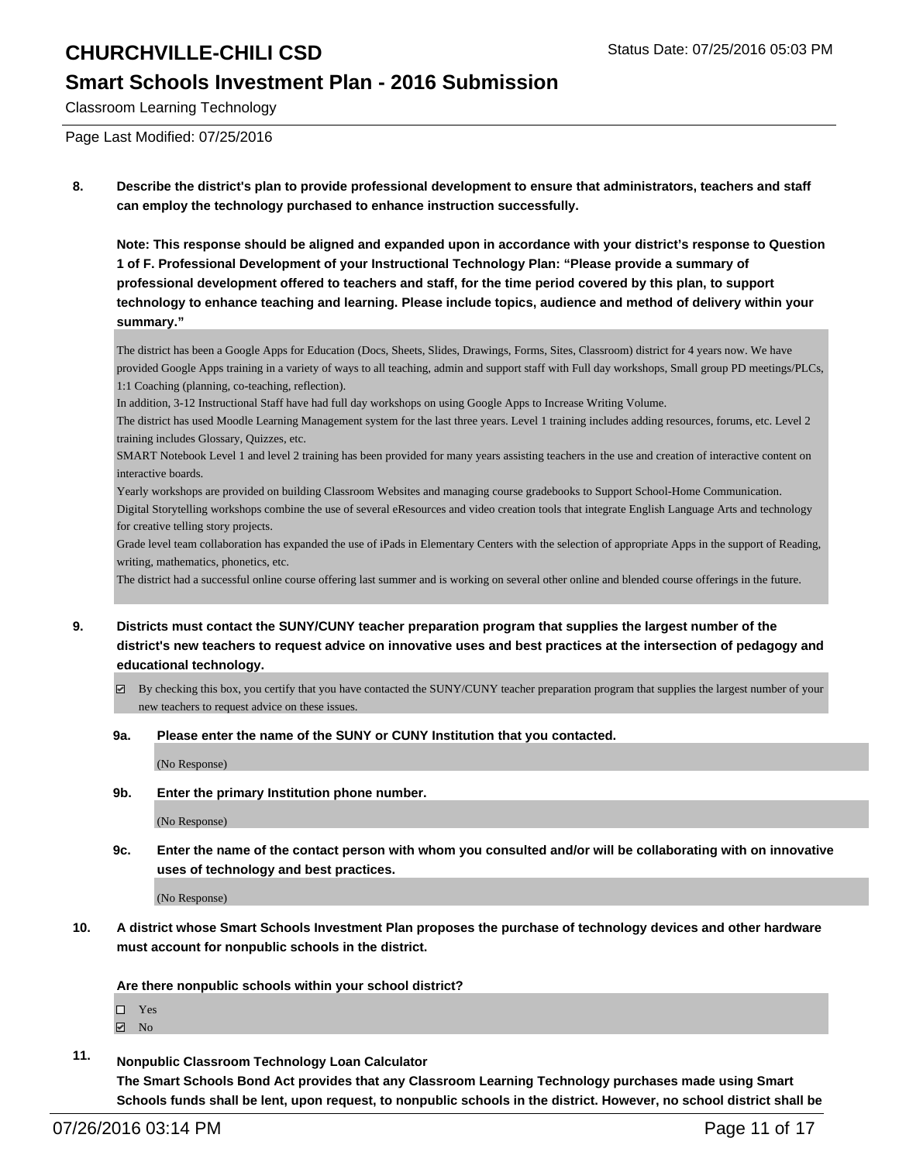### **Smart Schools Investment Plan - 2016 Submission**

Classroom Learning Technology

Page Last Modified: 07/25/2016

**8. Describe the district's plan to provide professional development to ensure that administrators, teachers and staff can employ the technology purchased to enhance instruction successfully.**

**Note: This response should be aligned and expanded upon in accordance with your district's response to Question 1 of F. Professional Development of your Instructional Technology Plan: "Please provide a summary of professional development offered to teachers and staff, for the time period covered by this plan, to support technology to enhance teaching and learning. Please include topics, audience and method of delivery within your summary."**

The district has been a Google Apps for Education (Docs, Sheets, Slides, Drawings, Forms, Sites, Classroom) district for 4 years now. We have provided Google Apps training in a variety of ways to all teaching, admin and support staff with Full day workshops, Small group PD meetings/PLCs, 1:1 Coaching (planning, co-teaching, reflection).

In addition, 3-12 Instructional Staff have had full day workshops on using Google Apps to Increase Writing Volume.

The district has used Moodle Learning Management system for the last three years. Level 1 training includes adding resources, forums, etc. Level 2 training includes Glossary, Quizzes, etc.

SMART Notebook Level 1 and level 2 training has been provided for many years assisting teachers in the use and creation of interactive content on interactive boards.

Yearly workshops are provided on building Classroom Websites and managing course gradebooks to Support School-Home Communication. Digital Storytelling workshops combine the use of several eResources and video creation tools that integrate English Language Arts and technology for creative telling story projects.

Grade level team collaboration has expanded the use of iPads in Elementary Centers with the selection of appropriate Apps in the support of Reading, writing, mathematics, phonetics, etc.

The district had a successful online course offering last summer and is working on several other online and blended course offerings in the future.

- **9. Districts must contact the SUNY/CUNY teacher preparation program that supplies the largest number of the district's new teachers to request advice on innovative uses and best practices at the intersection of pedagogy and educational technology.**
	- $\boxtimes$  By checking this box, you certify that you have contacted the SUNY/CUNY teacher preparation program that supplies the largest number of your new teachers to request advice on these issues.
	- **9a. Please enter the name of the SUNY or CUNY Institution that you contacted.**

(No Response)

**9b. Enter the primary Institution phone number.**

(No Response)

**9c. Enter the name of the contact person with whom you consulted and/or will be collaborating with on innovative uses of technology and best practices.**

(No Response)

**10. A district whose Smart Schools Investment Plan proposes the purchase of technology devices and other hardware must account for nonpublic schools in the district.**

**Are there nonpublic schools within your school district?**

- Yes
- $\boxtimes$  No
- **11. Nonpublic Classroom Technology Loan Calculator The Smart Schools Bond Act provides that any Classroom Learning Technology purchases made using Smart Schools funds shall be lent, upon request, to nonpublic schools in the district. However, no school district shall be**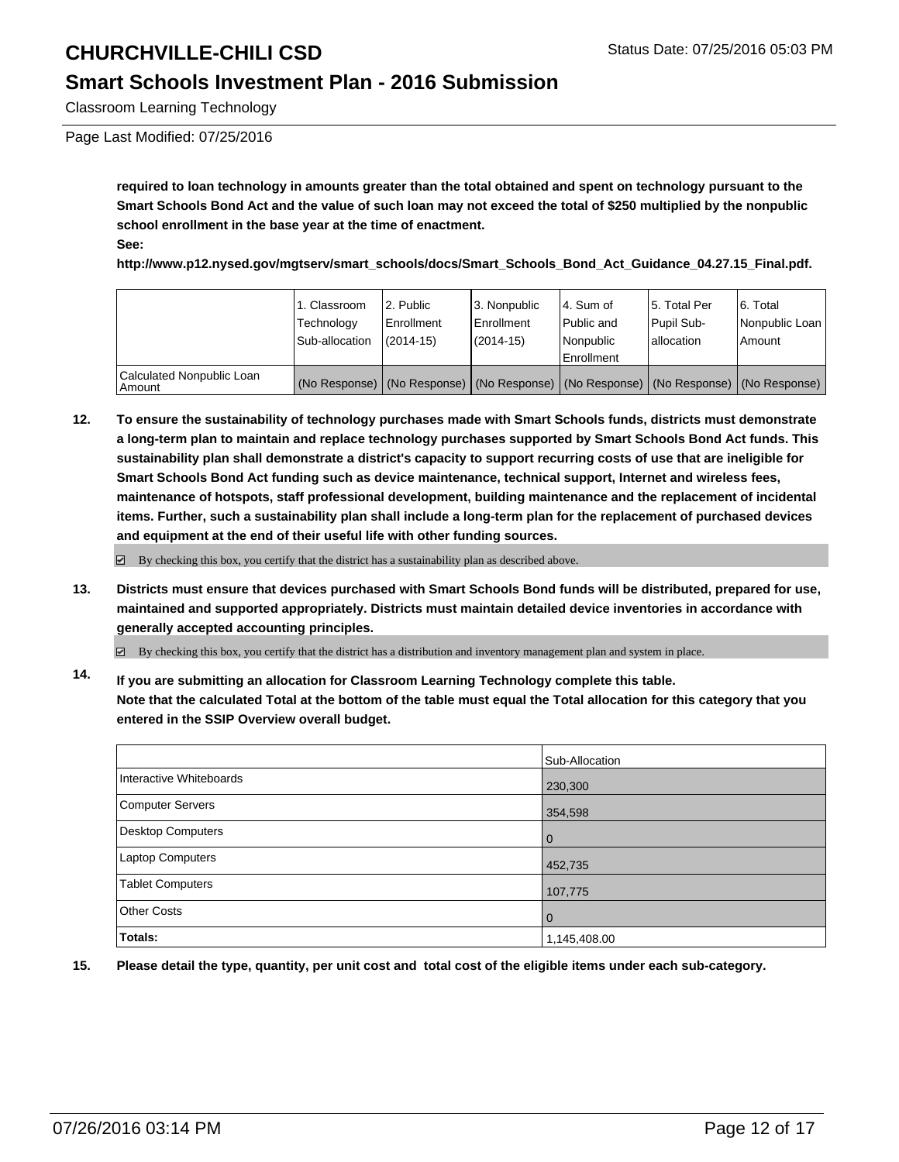### **Smart Schools Investment Plan - 2016 Submission**

Classroom Learning Technology

Page Last Modified: 07/25/2016

**required to loan technology in amounts greater than the total obtained and spent on technology pursuant to the Smart Schools Bond Act and the value of such loan may not exceed the total of \$250 multiplied by the nonpublic school enrollment in the base year at the time of enactment. See:**

**http://www.p12.nysed.gov/mgtserv/smart\_schools/docs/Smart\_Schools\_Bond\_Act\_Guidance\_04.27.15\_Final.pdf.**

|                                     | 1. Classroom<br>Technology<br>Sub-allocation | 2. Public<br>Enrollment<br>$(2014-15)$ | 3. Nonpublic<br><b>Enrollment</b><br>$(2014 - 15)$ | 14. Sum of<br><b>Public and</b><br>Nonpublic<br><b>Enrollment</b>                             | l 5. Total Per<br>Pupil Sub-<br>Iallocation | 6. Total<br>Nonpublic Loan<br>Amount |
|-------------------------------------|----------------------------------------------|----------------------------------------|----------------------------------------------------|-----------------------------------------------------------------------------------------------|---------------------------------------------|--------------------------------------|
| Calculated Nonpublic Loan<br>Amount |                                              |                                        |                                                    | (No Response)   (No Response)   (No Response)   (No Response)   (No Response)   (No Response) |                                             |                                      |

**12. To ensure the sustainability of technology purchases made with Smart Schools funds, districts must demonstrate a long-term plan to maintain and replace technology purchases supported by Smart Schools Bond Act funds. This sustainability plan shall demonstrate a district's capacity to support recurring costs of use that are ineligible for Smart Schools Bond Act funding such as device maintenance, technical support, Internet and wireless fees, maintenance of hotspots, staff professional development, building maintenance and the replacement of incidental items. Further, such a sustainability plan shall include a long-term plan for the replacement of purchased devices and equipment at the end of their useful life with other funding sources.**

 $\boxtimes$  By checking this box, you certify that the district has a sustainability plan as described above.

**13. Districts must ensure that devices purchased with Smart Schools Bond funds will be distributed, prepared for use, maintained and supported appropriately. Districts must maintain detailed device inventories in accordance with generally accepted accounting principles.**

 $\boxdot$  By checking this box, you certify that the district has a distribution and inventory management plan and system in place.

**14. If you are submitting an allocation for Classroom Learning Technology complete this table. Note that the calculated Total at the bottom of the table must equal the Total allocation for this category that you entered in the SSIP Overview overall budget.**

|                          | Sub-Allocation |
|--------------------------|----------------|
| Interactive Whiteboards  | 230,300        |
| Computer Servers         | 354,598        |
| <b>Desktop Computers</b> | l 0            |
| Laptop Computers         | 452,735        |
| <b>Tablet Computers</b>  | 107,775        |
| <b>Other Costs</b>       | $\overline{0}$ |
| Totals:                  | 1,145,408.00   |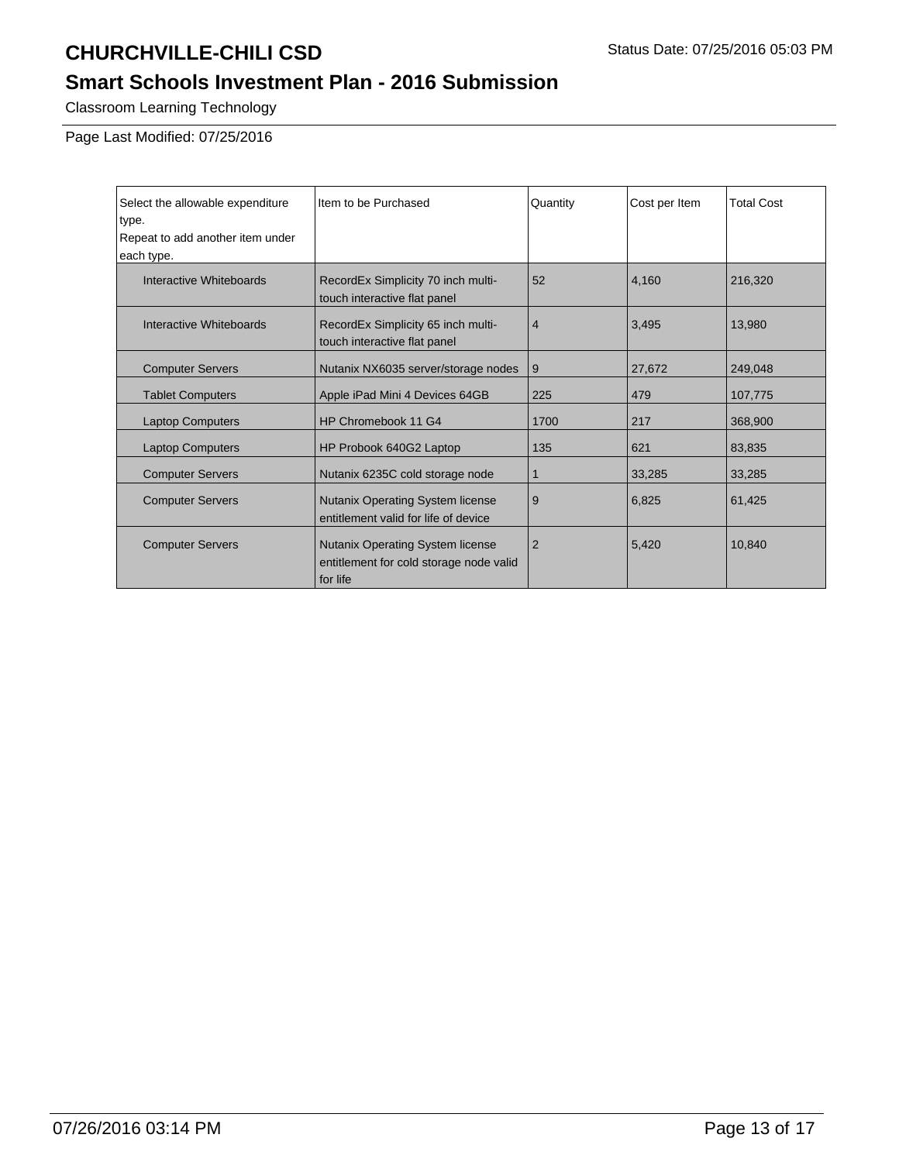## **Smart Schools Investment Plan - 2016 Submission**

Classroom Learning Technology

Page Last Modified: 07/25/2016

| Select the allowable expenditure<br>type.<br>Repeat to add another item under<br>each type. | Item to be Purchased                                                                           | Quantity       | Cost per Item | <b>Total Cost</b> |
|---------------------------------------------------------------------------------------------|------------------------------------------------------------------------------------------------|----------------|---------------|-------------------|
| Interactive Whiteboards                                                                     | RecordEx Simplicity 70 inch multi-<br>touch interactive flat panel                             | 52             | 4,160         | 216,320           |
| Interactive Whiteboards                                                                     | RecordEx Simplicity 65 inch multi-<br>touch interactive flat panel                             | $\overline{4}$ | 3.495         | 13,980            |
| <b>Computer Servers</b>                                                                     | Nutanix NX6035 server/storage nodes                                                            | 9              | 27,672        | 249,048           |
| <b>Tablet Computers</b>                                                                     | Apple iPad Mini 4 Devices 64GB                                                                 | 225            | 479           | 107,775           |
| <b>Laptop Computers</b>                                                                     | HP Chromebook 11 G4                                                                            | 1700           | 217           | 368,900           |
| <b>Laptop Computers</b>                                                                     | HP Probook 640G2 Laptop                                                                        | 135            | 621           | 83,835            |
| <b>Computer Servers</b>                                                                     | Nutanix 6235C cold storage node                                                                | 1              | 33,285        | 33,285            |
| <b>Computer Servers</b>                                                                     | <b>Nutanix Operating System license</b><br>entitlement valid for life of device                | 9              | 6,825         | 61,425            |
| <b>Computer Servers</b>                                                                     | <b>Nutanix Operating System license</b><br>entitlement for cold storage node valid<br>for life | $\overline{2}$ | 5,420         | 10,840            |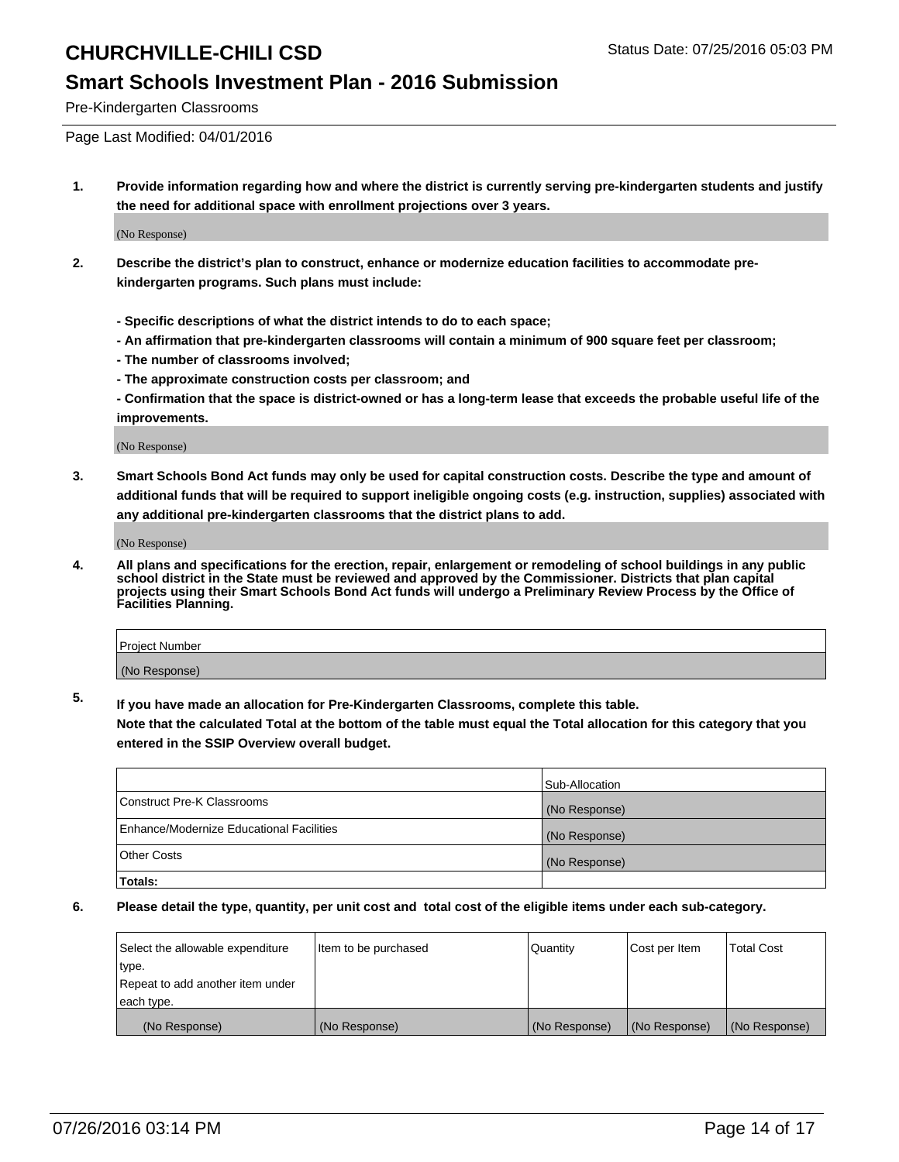### **Smart Schools Investment Plan - 2016 Submission**

Pre-Kindergarten Classrooms

Page Last Modified: 04/01/2016

**1. Provide information regarding how and where the district is currently serving pre-kindergarten students and justify the need for additional space with enrollment projections over 3 years.**

(No Response)

- **2. Describe the district's plan to construct, enhance or modernize education facilities to accommodate prekindergarten programs. Such plans must include:**
	- **Specific descriptions of what the district intends to do to each space;**
	- **An affirmation that pre-kindergarten classrooms will contain a minimum of 900 square feet per classroom;**
	- **The number of classrooms involved;**
	- **The approximate construction costs per classroom; and**
	- **Confirmation that the space is district-owned or has a long-term lease that exceeds the probable useful life of the improvements.**

(No Response)

**3. Smart Schools Bond Act funds may only be used for capital construction costs. Describe the type and amount of additional funds that will be required to support ineligible ongoing costs (e.g. instruction, supplies) associated with any additional pre-kindergarten classrooms that the district plans to add.**

(No Response)

**4. All plans and specifications for the erection, repair, enlargement or remodeling of school buildings in any public school district in the State must be reviewed and approved by the Commissioner. Districts that plan capital projects using their Smart Schools Bond Act funds will undergo a Preliminary Review Process by the Office of Facilities Planning.**

| Project Number |  |
|----------------|--|
| (No Response)  |  |

**5. If you have made an allocation for Pre-Kindergarten Classrooms, complete this table.**

**Note that the calculated Total at the bottom of the table must equal the Total allocation for this category that you entered in the SSIP Overview overall budget.**

|                                          | Sub-Allocation |
|------------------------------------------|----------------|
| Construct Pre-K Classrooms               | (No Response)  |
| Enhance/Modernize Educational Facilities | (No Response)  |
| <b>Other Costs</b>                       | (No Response)  |
| Totals:                                  |                |

| Select the allowable expenditure | litem to be purchased | Quantity      | Cost per Item | <b>Total Cost</b> |
|----------------------------------|-----------------------|---------------|---------------|-------------------|
| type.                            |                       |               |               |                   |
| Repeat to add another item under |                       |               |               |                   |
| each type.                       |                       |               |               |                   |
| (No Response)                    | (No Response)         | (No Response) | (No Response) | (No Response)     |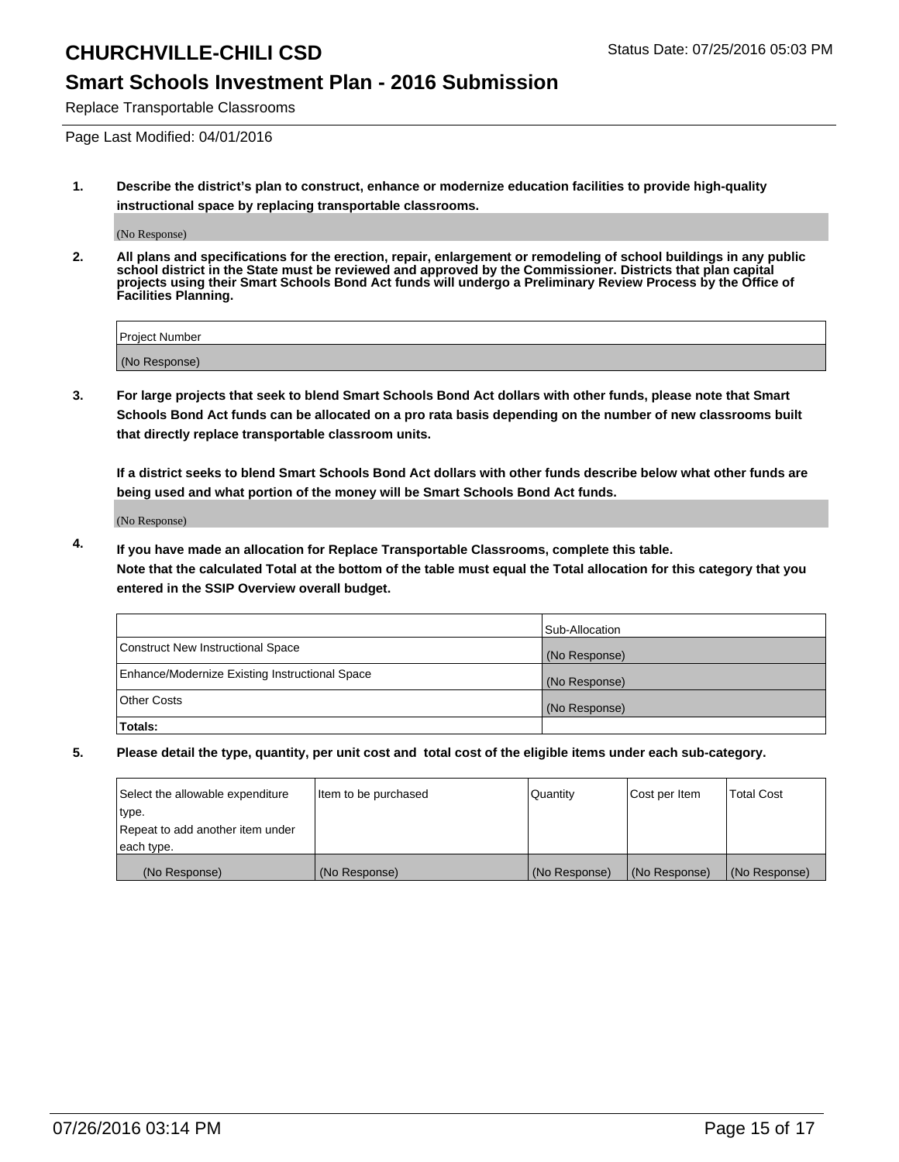### **Smart Schools Investment Plan - 2016 Submission**

Replace Transportable Classrooms

Page Last Modified: 04/01/2016

**1. Describe the district's plan to construct, enhance or modernize education facilities to provide high-quality instructional space by replacing transportable classrooms.**

(No Response)

**2. All plans and specifications for the erection, repair, enlargement or remodeling of school buildings in any public school district in the State must be reviewed and approved by the Commissioner. Districts that plan capital projects using their Smart Schools Bond Act funds will undergo a Preliminary Review Process by the Office of Facilities Planning.**

| <b>Project Number</b> |  |
|-----------------------|--|
| (No Response)         |  |

**3. For large projects that seek to blend Smart Schools Bond Act dollars with other funds, please note that Smart Schools Bond Act funds can be allocated on a pro rata basis depending on the number of new classrooms built that directly replace transportable classroom units.**

**If a district seeks to blend Smart Schools Bond Act dollars with other funds describe below what other funds are being used and what portion of the money will be Smart Schools Bond Act funds.**

(No Response)

**4. If you have made an allocation for Replace Transportable Classrooms, complete this table. Note that the calculated Total at the bottom of the table must equal the Total allocation for this category that you entered in the SSIP Overview overall budget.**

|                                                | Sub-Allocation |
|------------------------------------------------|----------------|
| Construct New Instructional Space              | (No Response)  |
| Enhance/Modernize Existing Instructional Space | (No Response)  |
| Other Costs                                    | (No Response)  |
| Totals:                                        |                |

| Select the allowable expenditure | Item to be purchased | Quantity      | Cost per Item | <b>Total Cost</b> |
|----------------------------------|----------------------|---------------|---------------|-------------------|
| type.                            |                      |               |               |                   |
| Repeat to add another item under |                      |               |               |                   |
| each type.                       |                      |               |               |                   |
| (No Response)                    | (No Response)        | (No Response) | (No Response) | (No Response)     |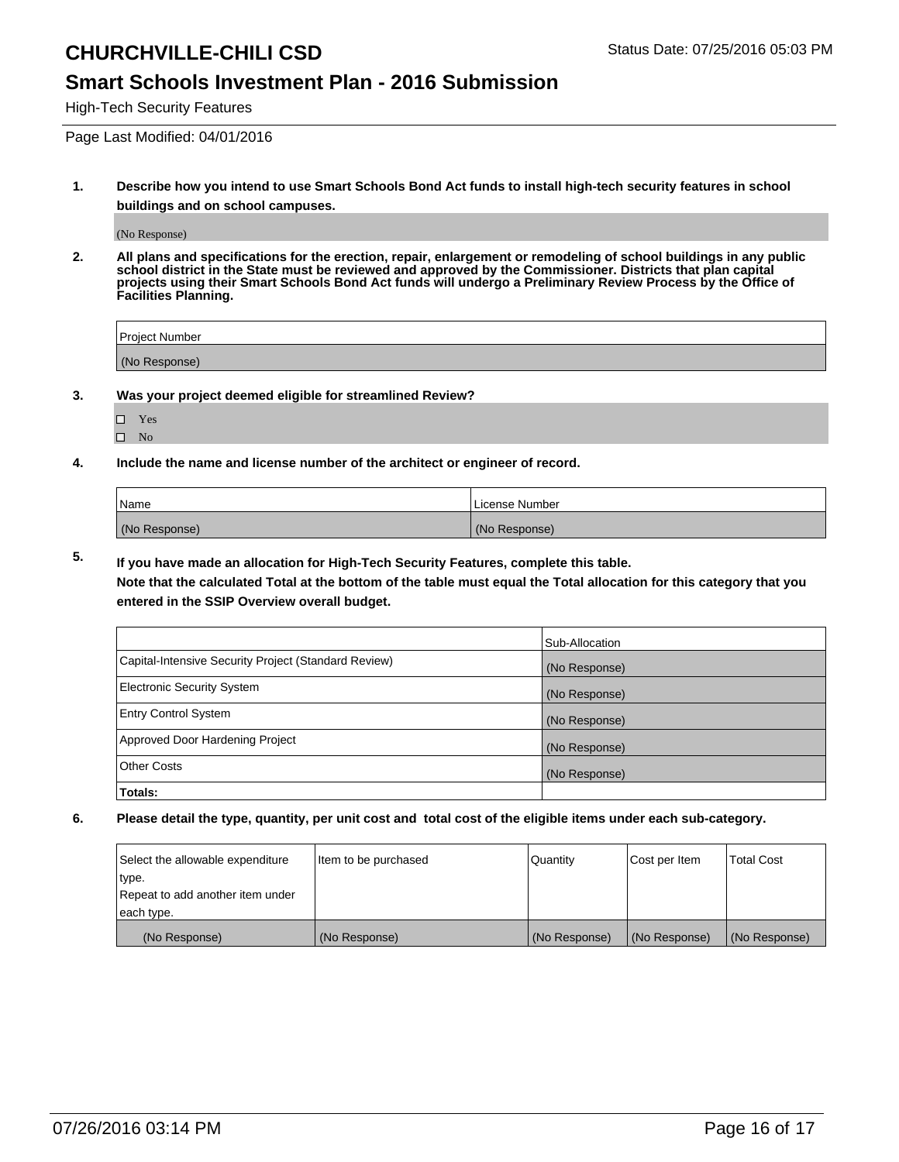### **Smart Schools Investment Plan - 2016 Submission**

High-Tech Security Features

Page Last Modified: 04/01/2016

**1. Describe how you intend to use Smart Schools Bond Act funds to install high-tech security features in school buildings and on school campuses.**

(No Response)

**2. All plans and specifications for the erection, repair, enlargement or remodeling of school buildings in any public school district in the State must be reviewed and approved by the Commissioner. Districts that plan capital projects using their Smart Schools Bond Act funds will undergo a Preliminary Review Process by the Office of Facilities Planning.** 

| Project Number |  |
|----------------|--|
| (No Response)  |  |

**3. Was your project deemed eligible for streamlined Review?**

| H | Yes |  |
|---|-----|--|
| П | Nο  |  |

**4. Include the name and license number of the architect or engineer of record.**

| Name          | License Number |
|---------------|----------------|
| (No Response) | (No Response)  |

**5. If you have made an allocation for High-Tech Security Features, complete this table.**

**Note that the calculated Total at the bottom of the table must equal the Total allocation for this category that you entered in the SSIP Overview overall budget.**

|                                                      | Sub-Allocation |
|------------------------------------------------------|----------------|
| Capital-Intensive Security Project (Standard Review) | (No Response)  |
| <b>Electronic Security System</b>                    | (No Response)  |
| <b>Entry Control System</b>                          | (No Response)  |
| Approved Door Hardening Project                      | (No Response)  |
| <b>Other Costs</b>                                   | (No Response)  |
| Totals:                                              |                |

| Select the allowable expenditure | litem to be purchased | Quantity      | Cost per Item | <b>Total Cost</b> |
|----------------------------------|-----------------------|---------------|---------------|-------------------|
| type.                            |                       |               |               |                   |
| Repeat to add another item under |                       |               |               |                   |
| each type.                       |                       |               |               |                   |
| (No Response)                    | (No Response)         | (No Response) | (No Response) | (No Response)     |